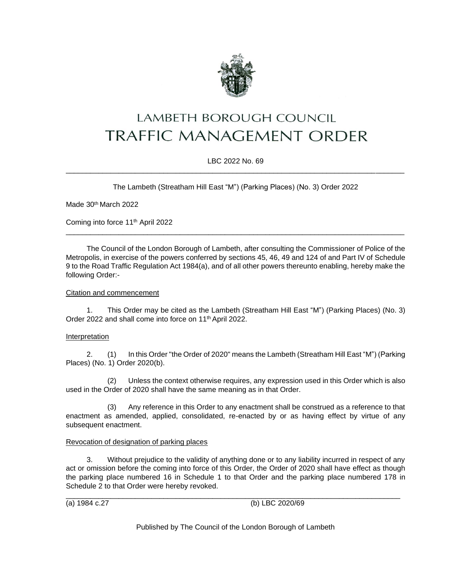

# LAMBETH BOROUGH COUNCIL **TRAFFIC MANAGEMENT ORDER**

# LBC 2022 No. 69 \_\_\_\_\_\_\_\_\_\_\_\_\_\_\_\_\_\_\_\_\_\_\_\_\_\_\_\_\_\_\_\_\_\_\_\_\_\_\_\_\_\_\_\_\_\_\_\_\_\_\_\_\_\_\_\_\_\_\_\_\_\_\_\_\_\_\_\_\_\_\_\_\_\_\_\_\_\_\_\_\_\_\_

The Lambeth (Streatham Hill East "M") (Parking Places) (No. 3) Order 2022

Made 30<sup>th</sup> March 2022

Coming into force 11th April 2022

The Council of the London Borough of Lambeth, after consulting the Commissioner of Police of the Metropolis, in exercise of the powers conferred by sections 45, 46, 49 and 124 of and Part IV of Schedule 9 to the Road Traffic Regulation Act 1984(a), and of all other powers thereunto enabling, hereby make the following Order:-

\_\_\_\_\_\_\_\_\_\_\_\_\_\_\_\_\_\_\_\_\_\_\_\_\_\_\_\_\_\_\_\_\_\_\_\_\_\_\_\_\_\_\_\_\_\_\_\_\_\_\_\_\_\_\_\_\_\_\_\_\_\_\_\_\_\_\_\_\_\_\_\_\_\_\_\_\_\_\_\_\_\_\_

### Citation and commencement

1. This Order may be cited as the Lambeth (Streatham Hill East "M") (Parking Places) (No. 3) Order 2022 and shall come into force on 11<sup>th</sup> April 2022.

# Interpretation

2. (1) In this Order "the Order of 2020" means the Lambeth (Streatham Hill East "M") (Parking Places) (No. 1) Order 2020(b).

(2) Unless the context otherwise requires, any expression used in this Order which is also used in the Order of 2020 shall have the same meaning as in that Order.

(3) Any reference in this Order to any enactment shall be construed as a reference to that enactment as amended, applied, consolidated, re-enacted by or as having effect by virtue of any subsequent enactment.

### Revocation of designation of parking places

3. Without prejudice to the validity of anything done or to any liability incurred in respect of any act or omission before the coming into force of this Order, the Order of 2020 shall have effect as though the parking place numbered 16 in Schedule 1 to that Order and the parking place numbered 178 in Schedule 2 to that Order were hereby revoked.

\_\_\_\_\_\_\_\_\_\_\_\_\_\_\_\_\_\_\_\_\_\_\_\_\_\_\_\_\_\_\_\_\_\_\_\_\_\_\_\_\_\_\_\_\_\_\_\_\_\_\_\_\_\_\_\_\_\_\_\_\_\_\_\_\_\_\_\_\_\_\_\_\_\_\_\_\_\_\_\_\_\_ (a) 1984 c.27 (b) LBC 2020/69

Published by The Council of the London Borough of Lambeth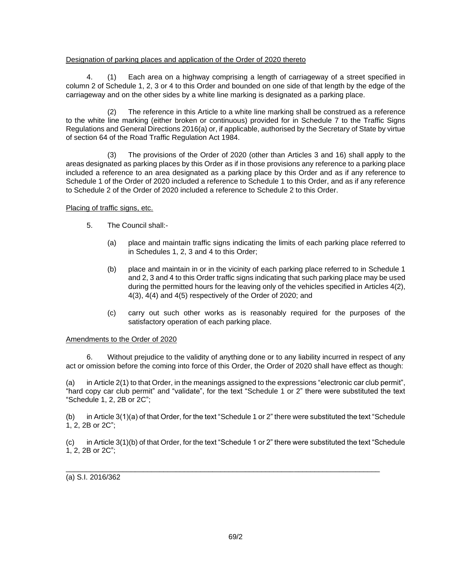## Designation of parking places and application of the Order of 2020 thereto

4. (1) Each area on a highway comprising a length of carriageway of a street specified in column 2 of Schedule 1, 2, 3 or 4 to this Order and bounded on one side of that length by the edge of the carriageway and on the other sides by a white line marking is designated as a parking place.

(2) The reference in this Article to a white line marking shall be construed as a reference to the white line marking (either broken or continuous) provided for in Schedule 7 to the Traffic Signs Regulations and General Directions 2016(a) or, if applicable, authorised by the Secretary of State by virtue of section 64 of the Road Traffic Regulation Act 1984.

(3) The provisions of the Order of 2020 (other than Articles 3 and 16) shall apply to the areas designated as parking places by this Order as if in those provisions any reference to a parking place included a reference to an area designated as a parking place by this Order and as if any reference to Schedule 1 of the Order of 2020 included a reference to Schedule 1 to this Order, and as if any reference to Schedule 2 of the Order of 2020 included a reference to Schedule 2 to this Order.

Placing of traffic signs, etc.

- 5. The Council shall:-
	- (a) place and maintain traffic signs indicating the limits of each parking place referred to in Schedules 1, 2, 3 and 4 to this Order;
	- (b) place and maintain in or in the vicinity of each parking place referred to in Schedule 1 and 2, 3 and 4 to this Order traffic signs indicating that such parking place may be used during the permitted hours for the leaving only of the vehicles specified in Articles 4(2), 4(3), 4(4) and 4(5) respectively of the Order of 2020; and
	- (c) carry out such other works as is reasonably required for the purposes of the satisfactory operation of each parking place.

### Amendments to the Order of 2020

6. Without prejudice to the validity of anything done or to any liability incurred in respect of any act or omission before the coming into force of this Order, the Order of 2020 shall have effect as though:

(a) in Article 2(1) to that Order, in the meanings assigned to the expressions "electronic car club permit", "hard copy car club permit" and "validate", for the text "Schedule 1 or 2" there were substituted the text "Schedule 1, 2, 2B or 2C";

(b) in Article 3(1)(a) of that Order, for the text "Schedule 1 or 2" there were substituted the text "Schedule 1, 2, 2B or 2C";

(c) in Article 3(1)(b) of that Order, for the text "Schedule 1 or 2" there were substituted the text "Schedule 1, 2, 2B or 2C";

\_\_\_\_\_\_\_\_\_\_\_\_\_\_\_\_\_\_\_\_\_\_\_\_\_\_\_\_\_\_\_\_\_\_\_\_\_\_\_\_\_\_\_\_\_\_\_\_\_\_\_\_\_\_\_\_\_\_\_\_\_\_\_\_\_\_\_\_\_\_\_\_\_\_\_\_\_

(a) S.I. 2016/362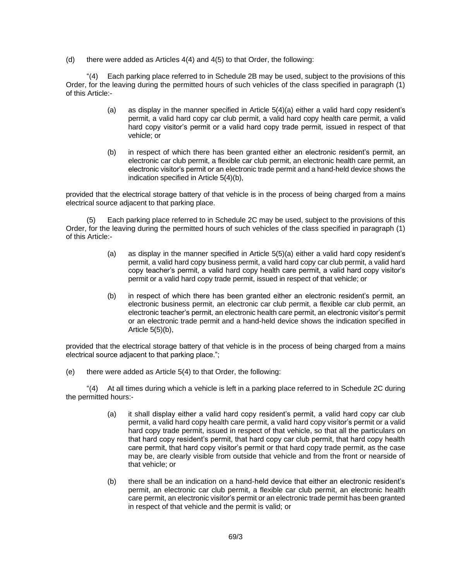(d) there were added as Articles 4(4) and 4(5) to that Order, the following:

"(4) Each parking place referred to in Schedule 2B may be used, subject to the provisions of this Order, for the leaving during the permitted hours of such vehicles of the class specified in paragraph (1) of this Article:-

- (a) as display in the manner specified in Article 5(4)(a) either a valid hard copy resident's permit, a valid hard copy car club permit, a valid hard copy health care permit, a valid hard copy visitor's permit or a valid hard copy trade permit, issued in respect of that vehicle; or
- (b) in respect of which there has been granted either an electronic resident's permit, an electronic car club permit, a flexible car club permit, an electronic health care permit, an electronic visitor's permit or an electronic trade permit and a hand-held device shows the indication specified in Article 5(4)(b),

provided that the electrical storage battery of that vehicle is in the process of being charged from a mains electrical source adjacent to that parking place.

(5) Each parking place referred to in Schedule 2C may be used, subject to the provisions of this Order, for the leaving during the permitted hours of such vehicles of the class specified in paragraph (1) of this Article:-

- (a) as display in the manner specified in Article 5(5)(a) either a valid hard copy resident's permit, a valid hard copy business permit, a valid hard copy car club permit, a valid hard copy teacher's permit, a valid hard copy health care permit, a valid hard copy visitor's permit or a valid hard copy trade permit, issued in respect of that vehicle; or
- (b) in respect of which there has been granted either an electronic resident's permit, an electronic business permit, an electronic car club permit, a flexible car club permit, an electronic teacher's permit, an electronic health care permit, an electronic visitor's permit or an electronic trade permit and a hand-held device shows the indication specified in Article 5(5)(b),

provided that the electrical storage battery of that vehicle is in the process of being charged from a mains electrical source adjacent to that parking place.";

(e) there were added as Article 5(4) to that Order, the following:

"(4) At all times during which a vehicle is left in a parking place referred to in Schedule 2C during the permitted hours:-

- (a) it shall display either a valid hard copy resident's permit, a valid hard copy car club permit, a valid hard copy health care permit, a valid hard copy visitor's permit or a valid hard copy trade permit, issued in respect of that vehicle, so that all the particulars on that hard copy resident's permit, that hard copy car club permit, that hard copy health care permit, that hard copy visitor's permit or that hard copy trade permit, as the case may be, are clearly visible from outside that vehicle and from the front or nearside of that vehicle; or
- (b) there shall be an indication on a hand-held device that either an electronic resident's permit, an electronic car club permit, a flexible car club permit, an electronic health care permit, an electronic visitor's permit or an electronic trade permit has been granted in respect of that vehicle and the permit is valid; or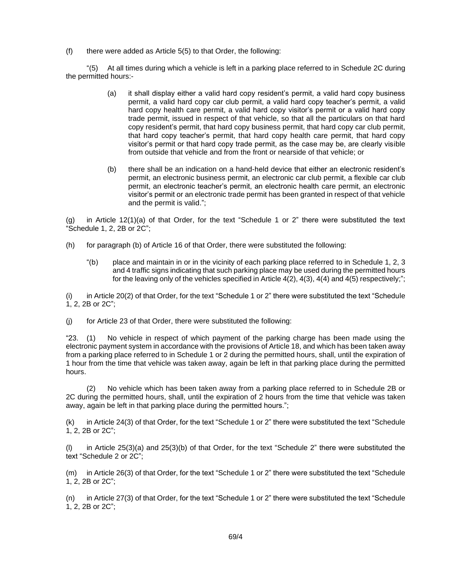$(f)$  there were added as Article 5(5) to that Order, the following:

"(5) At all times during which a vehicle is left in a parking place referred to in Schedule 2C during the permitted hours:-

- (a) it shall display either a valid hard copy resident's permit, a valid hard copy business permit, a valid hard copy car club permit, a valid hard copy teacher's permit, a valid hard copy health care permit, a valid hard copy visitor's permit or a valid hard copy trade permit, issued in respect of that vehicle, so that all the particulars on that hard copy resident's permit, that hard copy business permit, that hard copy car club permit, that hard copy teacher's permit, that hard copy health care permit, that hard copy visitor's permit or that hard copy trade permit, as the case may be, are clearly visible from outside that vehicle and from the front or nearside of that vehicle; or
- (b) there shall be an indication on a hand-held device that either an electronic resident's permit, an electronic business permit, an electronic car club permit, a flexible car club permit, an electronic teacher's permit, an electronic health care permit, an electronic visitor's permit or an electronic trade permit has been granted in respect of that vehicle and the permit is valid.";

(g) in Article 12(1)(a) of that Order, for the text "Schedule 1 or 2" there were substituted the text "Schedule 1, 2, 2B or 2C";

- (h) for paragraph (b) of Article 16 of that Order, there were substituted the following:
	- "(b) place and maintain in or in the vicinity of each parking place referred to in Schedule 1, 2, 3 and 4 traffic signs indicating that such parking place may be used during the permitted hours for the leaving only of the vehicles specified in Article  $4(2)$ ,  $4(3)$ ,  $4(4)$  and  $4(5)$  respectively;";

(i) in Article 20(2) of that Order, for the text "Schedule 1 or 2" there were substituted the text "Schedule 1, 2, 2B or 2C";

(j) for Article 23 of that Order, there were substituted the following:

"23. (1) No vehicle in respect of which payment of the parking charge has been made using the electronic payment system in accordance with the provisions of Article 18, and which has been taken away from a parking place referred to in Schedule 1 or 2 during the permitted hours, shall, until the expiration of 1 hour from the time that vehicle was taken away, again be left in that parking place during the permitted hours.

(2) No vehicle which has been taken away from a parking place referred to in Schedule 2B or 2C during the permitted hours, shall, until the expiration of 2 hours from the time that vehicle was taken away, again be left in that parking place during the permitted hours.";

(k) in Article 24(3) of that Order, for the text "Schedule 1 or 2" there were substituted the text "Schedule 1, 2, 2B or 2C";

(l) in Article 25(3)(a) and 25(3)(b) of that Order, for the text "Schedule 2" there were substituted the text "Schedule 2 or 2C";

(m) in Article 26(3) of that Order, for the text "Schedule 1 or 2" there were substituted the text "Schedule 1, 2, 2B or 2C";

(n) in Article 27(3) of that Order, for the text "Schedule 1 or 2" there were substituted the text "Schedule 1, 2, 2B or 2C";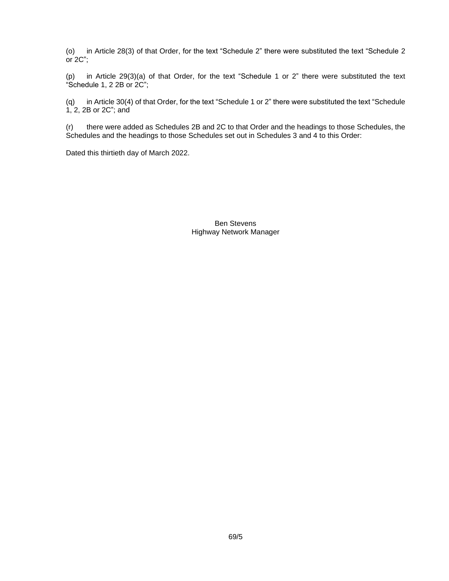(o) in Article 28(3) of that Order, for the text "Schedule 2" there were substituted the text "Schedule 2 or 2C";

(p) in Article 29(3)(a) of that Order, for the text "Schedule 1 or 2" there were substituted the text "Schedule 1, 2 2B or 2C";

(q) in Article 30(4) of that Order, for the text "Schedule 1 or 2" there were substituted the text "Schedule 1, 2, 2B or 2C"; and

(r) there were added as Schedules 2B and 2C to that Order and the headings to those Schedules, the Schedules and the headings to those Schedules set out in Schedules 3 and 4 to this Order:

Dated this thirtieth day of March 2022.

Ben Stevens Highway Network Manager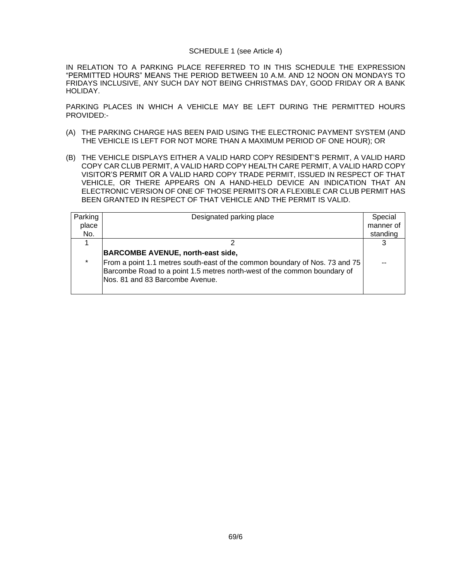#### SCHEDULE 1 (see Article 4)

IN RELATION TO A PARKING PLACE REFERRED TO IN THIS SCHEDULE THE EXPRESSION "PERMITTED HOURS" MEANS THE PERIOD BETWEEN 10 A.M. AND 12 NOON ON MONDAYS TO FRIDAYS INCLUSIVE, ANY SUCH DAY NOT BEING CHRISTMAS DAY, GOOD FRIDAY OR A BANK HOLIDAY.

PARKING PLACES IN WHICH A VEHICLE MAY BE LEFT DURING THE PERMITTED HOURS PROVIDED:-

- (A) THE PARKING CHARGE HAS BEEN PAID USING THE ELECTRONIC PAYMENT SYSTEM (AND THE VEHICLE IS LEFT FOR NOT MORE THAN A MAXIMUM PERIOD OF ONE HOUR); OR
- (B) THE VEHICLE DISPLAYS EITHER A VALID HARD COPY RESIDENT'S PERMIT, A VALID HARD COPY CAR CLUB PERMIT, A VALID HARD COPY HEALTH CARE PERMIT, A VALID HARD COPY VISITOR'S PERMIT OR A VALID HARD COPY TRADE PERMIT, ISSUED IN RESPECT OF THAT VEHICLE, OR THERE APPEARS ON A HAND-HELD DEVICE AN INDICATION THAT AN ELECTRONIC VERSION OF ONE OF THOSE PERMITS OR A FLEXIBLE CAR CLUB PERMIT HAS BEEN GRANTED IN RESPECT OF THAT VEHICLE AND THE PERMIT IS VALID.

| Parking | Designated parking place                                                                                                                                                                   | Special   |
|---------|--------------------------------------------------------------------------------------------------------------------------------------------------------------------------------------------|-----------|
|         |                                                                                                                                                                                            |           |
| place   |                                                                                                                                                                                            | manner of |
| No.     |                                                                                                                                                                                            | standing  |
|         |                                                                                                                                                                                            |           |
|         | <b>BARCOMBE AVENUE, north-east side,</b>                                                                                                                                                   |           |
| $\star$ | From a point 1.1 metres south-east of the common boundary of Nos. 73 and 75<br>Barcombe Road to a point 1.5 metres north-west of the common boundary of<br>Nos. 81 and 83 Barcombe Avenue. |           |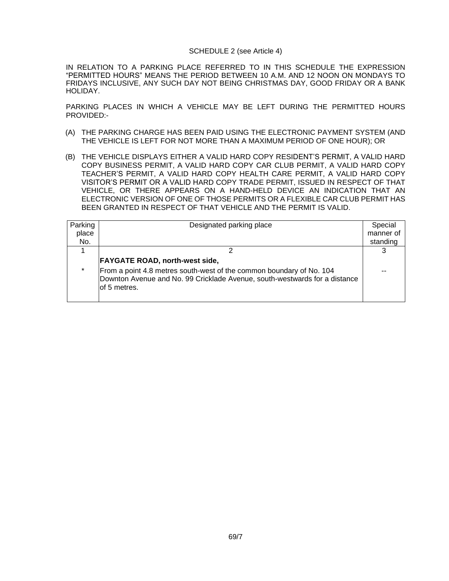#### SCHEDULE 2 (see Article 4)

IN RELATION TO A PARKING PLACE REFERRED TO IN THIS SCHEDULE THE EXPRESSION "PERMITTED HOURS" MEANS THE PERIOD BETWEEN 10 A.M. AND 12 NOON ON MONDAYS TO FRIDAYS INCLUSIVE, ANY SUCH DAY NOT BEING CHRISTMAS DAY, GOOD FRIDAY OR A BANK HOLIDAY.

PARKING PLACES IN WHICH A VEHICLE MAY BE LEFT DURING THE PERMITTED HOURS PROVIDED:-

- (A) THE PARKING CHARGE HAS BEEN PAID USING THE ELECTRONIC PAYMENT SYSTEM (AND THE VEHICLE IS LEFT FOR NOT MORE THAN A MAXIMUM PERIOD OF ONE HOUR); OR
- (B) THE VEHICLE DISPLAYS EITHER A VALID HARD COPY RESIDENT'S PERMIT, A VALID HARD COPY BUSINESS PERMIT, A VALID HARD COPY CAR CLUB PERMIT, A VALID HARD COPY TEACHER'S PERMIT, A VALID HARD COPY HEALTH CARE PERMIT, A VALID HARD COPY VISITOR'S PERMIT OR A VALID HARD COPY TRADE PERMIT, ISSUED IN RESPECT OF THAT VEHICLE, OR THERE APPEARS ON A HAND-HELD DEVICE AN INDICATION THAT AN ELECTRONIC VERSION OF ONE OF THOSE PERMITS OR A FLEXIBLE CAR CLUB PERMIT HAS BEEN GRANTED IN RESPECT OF THAT VEHICLE AND THE PERMIT IS VALID.

| Parking | Designated parking place                                                                                                                                            | Special   |
|---------|---------------------------------------------------------------------------------------------------------------------------------------------------------------------|-----------|
| place   |                                                                                                                                                                     | manner of |
| No.     |                                                                                                                                                                     | standing  |
|         |                                                                                                                                                                     |           |
|         | <b>FAYGATE ROAD, north-west side,</b>                                                                                                                               |           |
| $\star$ | From a point 4.8 metres south-west of the common boundary of No. 104<br>Downton Avenue and No. 99 Cricklade Avenue, south-westwards for a distance<br>lof 5 metres. |           |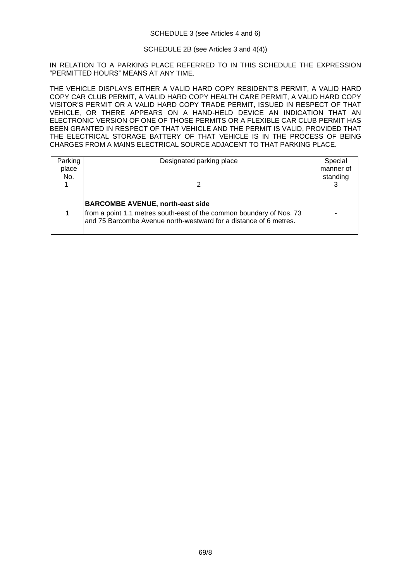## SCHEDULE 2B (see Articles 3 and 4(4))

IN RELATION TO A PARKING PLACE REFERRED TO IN THIS SCHEDULE THE EXPRESSION "PERMITTED HOURS" MEANS AT ANY TIME.

THE VEHICLE DISPLAYS EITHER A VALID HARD COPY RESIDENT'S PERMIT, A VALID HARD COPY CAR CLUB PERMIT, A VALID HARD COPY HEALTH CARE PERMIT, A VALID HARD COPY VISITOR'S PERMIT OR A VALID HARD COPY TRADE PERMIT, ISSUED IN RESPECT OF THAT VEHICLE, OR THERE APPEARS ON A HAND-HELD DEVICE AN INDICATION THAT AN ELECTRONIC VERSION OF ONE OF THOSE PERMITS OR A FLEXIBLE CAR CLUB PERMIT HAS BEEN GRANTED IN RESPECT OF THAT VEHICLE AND THE PERMIT IS VALID, PROVIDED THAT THE ELECTRICAL STORAGE BATTERY OF THAT VEHICLE IS IN THE PROCESS OF BEING CHARGES FROM A MAINS ELECTRICAL SOURCE ADJACENT TO THAT PARKING PLACE.

| Parking<br>place<br>No. | Designated parking place<br>2                                                                                                                                                        | Special<br>manner of<br>standing |
|-------------------------|--------------------------------------------------------------------------------------------------------------------------------------------------------------------------------------|----------------------------------|
|                         | <b>BARCOMBE AVENUE, north-east side</b><br>from a point 1.1 metres south-east of the common boundary of Nos. 73<br>and 75 Barcombe Avenue north-westward for a distance of 6 metres. |                                  |